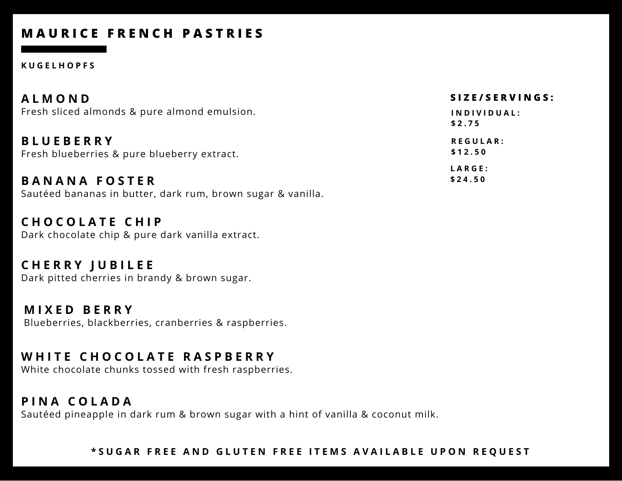# **M A U R I C E F R E N C H P A S T R I E S**

#### **K U G E L H O P F S**

| <b>ALMOND</b>                                                   | SIZE/SERVINGS:             |
|-----------------------------------------------------------------|----------------------------|
| Fresh sliced almonds & pure almond emulsion.                    | INDIVIDUAL:<br>\$2.75      |
| <b>BLUEBERRY</b><br>Fresh blueberries & pure blueberry extract. | <b>REGULAR:</b><br>\$12.50 |
| <b>BANANA FOSTER</b>                                            | LARGE:<br>\$24.50          |

Sautéed bananas in butter, dark rum, brown sugar & vanilla.

**C H O C O L A T E C H I P** Dark chocolate chip & pure dark vanilla extract.

**C H E R R Y J U B I L E E** Dark pitted cherries in brandy & brown sugar.

**M I X E D B E R R Y** Blueberries, blackberries, cranberries & raspberries.

### **W H I T E C H O C O L A T E R A S P B E R R Y**

White chocolate chunks tossed with fresh raspberries.

### **P I N A C O L A D A**

Sautéed pineapple in dark rum & brown sugar with a hint of vanilla & coconut milk.

#### \*SUGAR FREE AND GLUTEN FREE ITEMS AVAILABLE UPON REQUEST